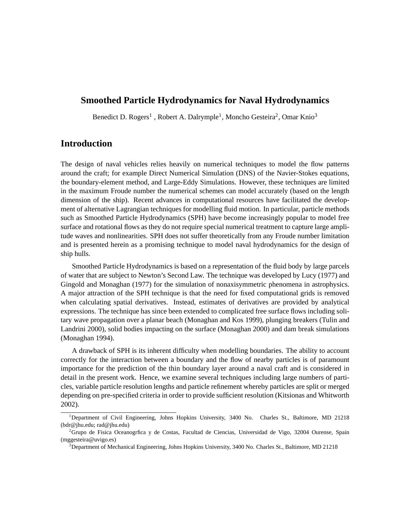## **Smoothed Particle Hydrodynamics for Naval Hydrodynamics**

Benedict D. Rogers<sup>1</sup>, Robert A. Dalrymple<sup>1</sup>, Moncho Gesteira<sup>2</sup>, Omar Knio<sup>3</sup>

# **Introduction**

The design of naval vehicles relies heavily on numerical techniques to model the flow patterns around the craft; for example Direct Numerical Simulation (DNS) of the Navier-Stokes equations, the boundary-element method, and Large-Eddy Simulations. However, these techniques are limited in the maximum Froude number the numerical schemes can model accurately (based on the length dimension of the ship). Recent advances in computational resources have facilitated the development of alternative Lagrangian techniques for modelling fluid motion. In particular, particle methods such as Smoothed Particle Hydrodynamics (SPH) have become increasingly popular to model free surface and rotational flows as they do not require special numerical treatment to capture large amplitude waves and nonlinearities. SPH does not suffer theoretically from any Froude number limitation and is presented herein as a promising technique to model naval hydrodynamics for the design of ship hulls.

Smoothed Particle Hydrodynamics is based on a representation of the fluid body by large parcels of water that are subject to Newton's Second Law. The technique was developed by Lucy (1977) and Gingold and Monaghan (1977) for the simulation of nonaxisymmetric phenomena in astrophysics. A major attraction of the SPH technique is that the need for fixed computational grids is removed when calculating spatial derivatives. Instead, estimates of derivatives are provided by analytical expressions. The technique has since been extended to complicated free surface flows including solitary wave propagation over a planar beach (Monaghan and Kos 1999), plunging breakers (Tulin and Landrini 2000), solid bodies impacting on the surface (Monaghan 2000) and dam break simulations (Monaghan 1994).

A drawback of SPH is its inherent difficulty when modelling boundaries. The ability to account correctly for the interaction between a boundary and the flow of nearby particles is of paramount importance for the prediction of the thin boundary layer around a naval craft and is considered in detail in the present work. Hence, we examine several techniques including large numbers of particles, variable particle resolution lengths and particle refinement whereby particles are split or merged depending on pre-specified criteria in order to provide sufficient resolution (Kitsionas and Whitworth 2002).

<sup>1</sup>Department of Civil Engineering, Johns Hopkins University, 3400 No. Charles St., Baltimore, MD 21218 (bdr@jhu.edu; rad@jhu.edu)

<sup>2</sup>Grupo de Fisica Oceanogrfica y de Costas, Facultad de Ciencias, Universidad de Vigo, 32004 Ourense, Spain (mggesteira@uvigo.es)

<sup>3</sup>Department of Mechanical Engineering, Johns Hopkins University, 3400 No. Charles St., Baltimore, MD 21218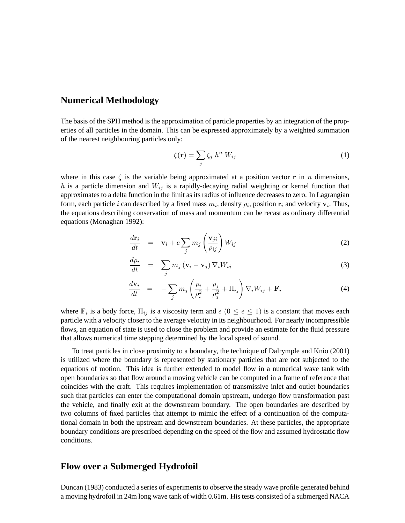#### **Numerical Methodology**

The basis of the SPH method is the approximation of particle properties by an integration of the properties of all particles in the domain. This can be expressed approximately by a weighted summation of the nearest neighbouring particles only:

$$
\zeta(\mathbf{r}) = \sum_{j} \zeta_j \ h^n \ W_{ij} \tag{1}
$$

where in this case  $\zeta$  is the variable being approximated at a position vector r in n dimensions, h is a particle dimension and  $W_{ij}$  is a rapidly-decaying radial weighting or kernel function that approximates to a delta function in the limit as its radius of influence decreases to zero. In Lagrangian form, each particle *i* can described by a fixed mass  $m_i$ , density  $\rho_i$ , position  $\mathbf{r}_i$  and velocity  $\mathbf{v}_i$ . Thus, the equations describing conservation of mass and momentum can be recast as ordinary differential equations (Monaghan 1992):

$$
\frac{d\mathbf{r}_i}{dt} = \mathbf{v}_i + e \sum_j m_j \left(\frac{\mathbf{v}_{ji}}{\rho_{ij}}\right) W_{ij} \tag{2}
$$

$$
\frac{d\rho_i}{dt} = \sum_j m_j \left( \mathbf{v}_i - \mathbf{v}_j \right) \nabla_i W_{ij} \tag{3}
$$

$$
\frac{d\mathbf{v}_i}{dt} = -\sum_j m_j \left(\frac{p_i}{\rho_i^2} + \frac{p_j}{\rho_j^2} + \Pi_{ij}\right) \nabla_i W_{ij} + \mathbf{F}_i
$$
\n(4)

where  $\mathbf{F}_i$  is a body force,  $\Pi_{ij}$  is a viscosity term and  $\epsilon$   $(0 \leq \epsilon \leq 1)$  is a constant that moves each particle with a velocity closer to the average velocity in its neighbourhood. For nearly incompressible flows, an equation of state is used to close the problem and provide an estimate for the fluid pressure that allows numerical time stepping determined by the local speed of sound.

To treat particles in close proximity to a boundary, the technique of Dalrymple and Knio (2001) is utilized where the boundary is represented by stationary particles that are not subjected to the equations of motion. This idea is further extended to model flow in a numerical wave tank with open boundaries so that flow around a moving vehicle can be computed in a frame of reference that coincides with the craft. This requires implementation of transmissive inlet and outlet boundaries such that particles can enter the computational domain upstream, undergo flow transformation past the vehicle, and finally exit at the downstream boundary. The open boundaries are described by two columns of fixed particles that attempt to mimic the effect of a continuation of the computational domain in both the upstream and downstream boundaries. At these particles, the appropriate boundary conditions are prescribed depending on the speed of the flow and assumed hydrostatic flow conditions.

### **Flow over a Submerged Hydrofoil**

Duncan (1983) conducted a series of experiments to observe the steady wave profile generated behind a moving hydrofoil in 24m long wave tank of width 0.61m. His tests consisted of a submerged NACA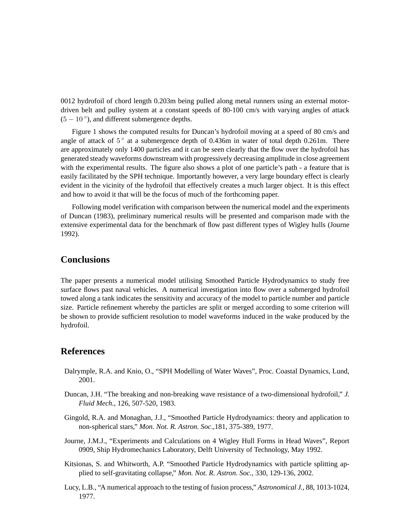0012 hydrofoil of chord length 0.203m being pulled along metal runners using an external motordriven belt and pulley system at a constant speeds of 80-100 cm/s with varying angles of attack  $(5 - 10^{\circ})$ , and different submergence depths.

Figure 1 shows the computed results for Duncan's hydrofoil moving at a speed of 80 cm/s and angle of attack of  $5^{\circ}$  at a submergence depth of 0.436m in water of total depth 0.261m. There are approximately only 1400 particles and it can be seen clearly that the flow over the hydrofoil has generated steady waveforms downstream with progressively decreasing amplitude in close agreement with the experimental results. The figure also shows a plot of one particle's path - a feature that is easily facilitated by the SPH technique. Importantly however, a very large boundary effect is clearly evident in the vicinity of the hydrofoil that effectively creates a much larger object. It is this effect and how to avoid it that will be the focus of much of the forthcoming paper.

Following model verification with comparison between the numerical model and the experiments of Duncan (1983), preliminary numerical results will be presented and comparison made with the extensive experimental data for the benchmark of flow past different types of Wigley hulls (Journe 1992).

## **Conclusions**

The paper presents a numerical model utilising Smoothed Particle Hydrodynamics to study free surface flows past naval vehicles. A numerical investigation into flow over a submerged hydrofoil towed along a tank indicates the sensitivity and accuracy of the model to particle number and particle size. Particle refinement whereby the particles are split or merged according to some criterion will be shown to provide sufficient resolution to model waveforms induced in the wake produced by the hydrofoil.

### **References**

- Dalrymple, R.A. and Knio, O., "SPH Modelling of Water Waves", Proc. Coastal Dynamics, Lund, 2001.
- Duncan, J.H. "The breaking and non-breaking wave resistance of a two-dimensional hydrofoil," *J. Fluid Mech.*, 126, 507-520, 1983.
- Gingold, R.A. and Monaghan, J.J., "Smoothed Particle Hydrodynamics: theory and application to non-spherical stars," *Mon. Not. R. Astron. Soc*.,181, 375-389, 1977.
- Journe, J.M.J., "Experiments and Calculations on 4 Wigley Hull Forms in Head Waves", Report 0909, Ship Hydromechanics Laboratory, Delft University of Technology, May 1992.
- Kitsionas, S. and Whitworth, A.P. "Smoothed Particle Hydrodynamics with particle splitting applied to self-gravitating collapse," *Mon. Not. R. Astron. Soc.*, 330, 129-136, 2002.
- Lucy, L.B., "A numerical approach to the testing of fusion process," *Astronomical J.*, 88, 1013-1024, 1977.